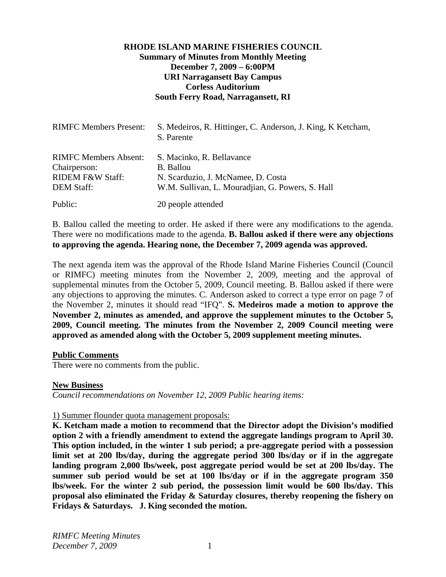## **RHODE ISLAND MARINE FISHERIES COUNCIL Summary of Minutes from Monthly Meeting December 7, 2009 – 6:00PM URI Narragansett Bay Campus Corless Auditorium South Ferry Road, Narragansett, RI**

| <b>RIMFC Members Present:</b>                                                                    | S. Medeiros, R. Hittinger, C. Anderson, J. King, K. Ketcham,<br>S. Parente                                                              |
|--------------------------------------------------------------------------------------------------|-----------------------------------------------------------------------------------------------------------------------------------------|
| <b>RIMFC Members Absent:</b><br>Chairperson:<br><b>RIDEM F&amp;W Staff:</b><br><b>DEM Staff:</b> | S. Macinko, R. Bellavance<br><b>B.</b> Ballou<br>N. Scarduzio, J. McNamee, D. Costa<br>W.M. Sullivan, L. Mouradjian, G. Powers, S. Hall |
| Public:                                                                                          | 20 people attended                                                                                                                      |

B. Ballou called the meeting to order. He asked if there were any modifications to the agenda. There were no modifications made to the agenda. **B. Ballou asked if there were any objections to approving the agenda. Hearing none, the December 7, 2009 agenda was approved.**

The next agenda item was the approval of the Rhode Island Marine Fisheries Council (Council or RIMFC) meeting minutes from the November 2, 2009, meeting and the approval of supplemental minutes from the October 5, 2009, Council meeting. B. Ballou asked if there were any objections to approving the minutes. C. Anderson asked to correct a type error on page 7 of the November 2, minutes it should read "IFQ". **S. Medeiros made a motion to approve the November 2, minutes as amended, and approve the supplement minutes to the October 5, 2009, Council meeting. The minutes from the November 2, 2009 Council meeting were approved as amended along with the October 5, 2009 supplement meeting minutes.** 

### **Public Comments**

There were no comments from the public.

### **New Business**

*Council recommendations on November 12, 2009 Public hearing items:* 

### 1) Summer flounder quota management proposals:

**K. Ketcham made a motion to recommend that the Director adopt the Division's modified option 2 with a friendly amendment to extend the aggregate landings program to April 30. This option included, in the winter 1 sub period; a pre-aggregate period with a possession limit set at 200 lbs/day, during the aggregate period 300 lbs/day or if in the aggregate landing program 2,000 lbs/week, post aggregate period would be set at 200 lbs/day. The summer sub period would be set at 100 lbs/day or if in the aggregate program 350 lbs/week. For the winter 2 sub period, the possession limit would be 600 lbs/day. This proposal also eliminated the Friday & Saturday closures, thereby reopening the fishery on Fridays & Saturdays. J. King seconded the motion.**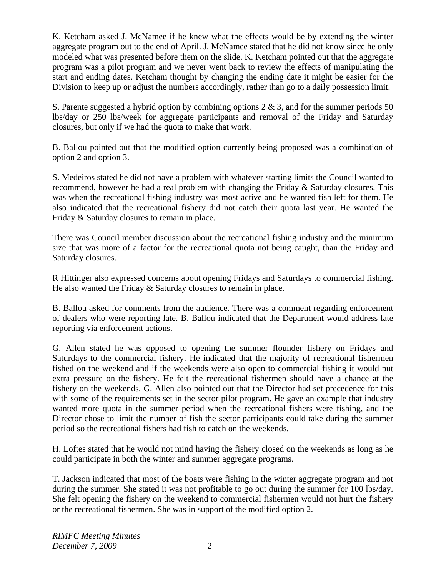K. Ketcham asked J. McNamee if he knew what the effects would be by extending the winter aggregate program out to the end of April. J. McNamee stated that he did not know since he only modeled what was presented before them on the slide. K. Ketcham pointed out that the aggregate program was a pilot program and we never went back to review the effects of manipulating the start and ending dates. Ketcham thought by changing the ending date it might be easier for the Division to keep up or adjust the numbers accordingly, rather than go to a daily possession limit.

S. Parente suggested a hybrid option by combining options 2 & 3, and for the summer periods 50 lbs/day or 250 lbs/week for aggregate participants and removal of the Friday and Saturday closures, but only if we had the quota to make that work.

B. Ballou pointed out that the modified option currently being proposed was a combination of option 2 and option 3.

S. Medeiros stated he did not have a problem with whatever starting limits the Council wanted to recommend, however he had a real problem with changing the Friday & Saturday closures. This was when the recreational fishing industry was most active and he wanted fish left for them. He also indicated that the recreational fishery did not catch their quota last year. He wanted the Friday & Saturday closures to remain in place.

There was Council member discussion about the recreational fishing industry and the minimum size that was more of a factor for the recreational quota not being caught, than the Friday and Saturday closures.

R Hittinger also expressed concerns about opening Fridays and Saturdays to commercial fishing. He also wanted the Friday & Saturday closures to remain in place.

B. Ballou asked for comments from the audience. There was a comment regarding enforcement of dealers who were reporting late. B. Ballou indicated that the Department would address late reporting via enforcement actions.

G. Allen stated he was opposed to opening the summer flounder fishery on Fridays and Saturdays to the commercial fishery. He indicated that the majority of recreational fishermen fished on the weekend and if the weekends were also open to commercial fishing it would put extra pressure on the fishery. He felt the recreational fishermen should have a chance at the fishery on the weekends. G. Allen also pointed out that the Director had set precedence for this with some of the requirements set in the sector pilot program. He gave an example that industry wanted more quota in the summer period when the recreational fishers were fishing, and the Director chose to limit the number of fish the sector participants could take during the summer period so the recreational fishers had fish to catch on the weekends.

H. Loftes stated that he would not mind having the fishery closed on the weekends as long as he could participate in both the winter and summer aggregate programs.

T. Jackson indicated that most of the boats were fishing in the winter aggregate program and not during the summer. She stated it was not profitable to go out during the summer for 100 lbs/day. She felt opening the fishery on the weekend to commercial fishermen would not hurt the fishery or the recreational fishermen. She was in support of the modified option 2.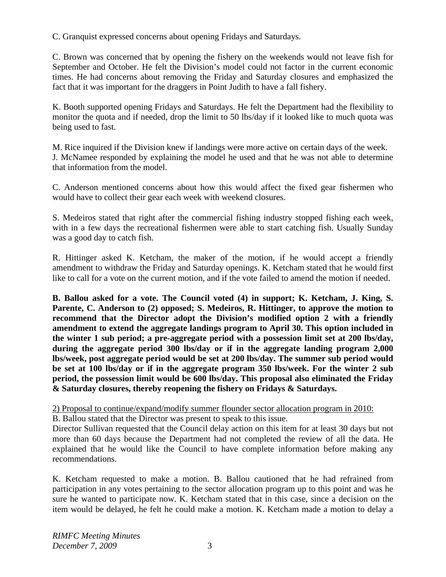C. Granquist expressed concerns about opening Fridays and Saturdays.

C. Brown was concerned that by opening the fishery on the weekends would not leave fish for September and October. He felt the Division's model could not factor in the current economic times. He had concerns about removing the Friday and Saturday closures and emphasized the fact that it was important for the draggers in Point Judith to have a fall fishery.

K. Booth supported opening Fridays and Saturdays. He felt the Department had the flexibility to monitor the quota and if needed, drop the limit to 50 lbs/day if it looked like to much quota was being used to fast.

M. Rice inquired if the Division knew if landings were more active on certain days of the week. J. McNamee responded by explaining the model he used and that he was not able to determine that information from the model.

C. Anderson mentioned concerns about how this would affect the fixed gear fishermen who would have to collect their gear each week with weekend closures.

S. Medeiros stated that right after the commercial fishing industry stopped fishing each week, with in a few days the recreational fishermen were able to start catching fish. Usually Sunday was a good day to catch fish.

R. Hittinger asked K. Ketcham, the maker of the motion, if he would accept a friendly amendment to withdraw the Friday and Saturday openings. K. Ketcham stated that he would first like to call for a vote on the current motion, and if the vote failed to amend the motion if needed.

**B. Ballou asked for a vote. The Council voted (4) in support; K. Ketcham, J. King, S. Parente, C. Anderson to (2) opposed; S. Medeiros, R. Hittinger, to approve the motion to recommend that the Director adopt the Division's modified option 2 with a friendly amendment to extend the aggregate landings program to April 30. This option included in the winter 1 sub period; a pre-aggregate period with a possession limit set at 200 lbs/day, during the aggregate period 300 lbs/day or if in the aggregate landing program 2,000 lbs/week, post aggregate period would be set at 200 lbs/day. The summer sub period would be set at 100 lbs/day or if in the aggregate program 350 lbs/week. For the winter 2 sub period, the possession limit would be 600 lbs/day. This proposal also eliminated the Friday & Saturday closures, thereby reopening the fishery on Fridays & Saturdays.**

2) Proposal to continue/expand/modify summer flounder sector allocation program in 2010:

B. Ballou stated that the Director was present to speak to this issue.

Director Sullivan requested that the Council delay action on this item for at least 30 days but not more than 60 days because the Department had not completed the review of all the data. He explained that he would like the Council to have complete information before making any recommendations.

K. Ketcham requested to make a motion. B. Ballou cautioned that he had refrained from participation in any votes pertaining to the sector allocation program up to this point and was he sure he wanted to participate now. K. Ketcham stated that in this case, since a decision on the item would be delayed, he felt he could make a motion. K. Ketcham made a motion to delay a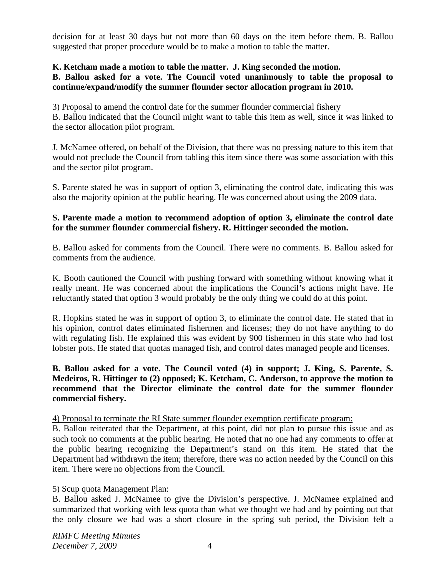decision for at least 30 days but not more than 60 days on the item before them. B. Ballou suggested that proper procedure would be to make a motion to table the matter.

## **K. Ketcham made a motion to table the matter. J. King seconded the motion.**

### **B. Ballou asked for a vote. The Council voted unanimously to table the proposal to continue/expand/modify the summer flounder sector allocation program in 2010.**

3) Proposal to amend the control date for the summer flounder commercial fishery

B. Ballou indicated that the Council might want to table this item as well, since it was linked to the sector allocation pilot program.

J. McNamee offered, on behalf of the Division, that there was no pressing nature to this item that would not preclude the Council from tabling this item since there was some association with this and the sector pilot program.

S. Parente stated he was in support of option 3, eliminating the control date, indicating this was also the majority opinion at the public hearing. He was concerned about using the 2009 data.

## **S. Parente made a motion to recommend adoption of option 3, eliminate the control date for the summer flounder commercial fishery. R. Hittinger seconded the motion.**

B. Ballou asked for comments from the Council. There were no comments. B. Ballou asked for comments from the audience.

K. Booth cautioned the Council with pushing forward with something without knowing what it really meant. He was concerned about the implications the Council's actions might have. He reluctantly stated that option 3 would probably be the only thing we could do at this point.

R. Hopkins stated he was in support of option 3, to eliminate the control date. He stated that in his opinion, control dates eliminated fishermen and licenses; they do not have anything to do with regulating fish. He explained this was evident by 900 fishermen in this state who had lost lobster pots. He stated that quotas managed fish, and control dates managed people and licenses.

## **B. Ballou asked for a vote. The Council voted (4) in support; J. King, S. Parente, S. Medeiros, R. Hittinger to (2) opposed; K. Ketcham, C. Anderson, to approve the motion to recommend that the Director eliminate the control date for the summer flounder commercial fishery.**

### 4) Proposal to terminate the RI State summer flounder exemption certificate program:

B. Ballou reiterated that the Department, at this point, did not plan to pursue this issue and as such took no comments at the public hearing. He noted that no one had any comments to offer at the public hearing recognizing the Department's stand on this item. He stated that the Department had withdrawn the item; therefore, there was no action needed by the Council on this item. There were no objections from the Council.

# 5) Scup quota Management Plan:

B. Ballou asked J. McNamee to give the Division's perspective. J. McNamee explained and summarized that working with less quota than what we thought we had and by pointing out that the only closure we had was a short closure in the spring sub period, the Division felt a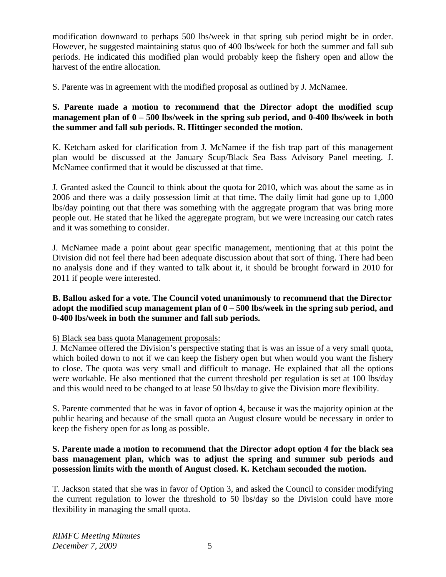modification downward to perhaps 500 lbs/week in that spring sub period might be in order. However, he suggested maintaining status quo of 400 lbs/week for both the summer and fall sub periods. He indicated this modified plan would probably keep the fishery open and allow the harvest of the entire allocation.

S. Parente was in agreement with the modified proposal as outlined by J. McNamee.

# **S. Parente made a motion to recommend that the Director adopt the modified scup management plan of 0 – 500 lbs/week in the spring sub period, and 0-400 lbs/week in both the summer and fall sub periods. R. Hittinger seconded the motion.**

K. Ketcham asked for clarification from J. McNamee if the fish trap part of this management plan would be discussed at the January Scup/Black Sea Bass Advisory Panel meeting. J. McNamee confirmed that it would be discussed at that time.

J. Granted asked the Council to think about the quota for 2010, which was about the same as in 2006 and there was a daily possession limit at that time. The daily limit had gone up to 1,000 lbs/day pointing out that there was something with the aggregate program that was bring more people out. He stated that he liked the aggregate program, but we were increasing our catch rates and it was something to consider.

J. McNamee made a point about gear specific management, mentioning that at this point the Division did not feel there had been adequate discussion about that sort of thing. There had been no analysis done and if they wanted to talk about it, it should be brought forward in 2010 for 2011 if people were interested.

# **B. Ballou asked for a vote. The Council voted unanimously to recommend that the Director adopt the modified scup management plan of 0 – 500 lbs/week in the spring sub period, and 0-400 lbs/week in both the summer and fall sub periods.**

# 6) Black sea bass quota Management proposals:

J. McNamee offered the Division's perspective stating that is was an issue of a very small quota, which boiled down to not if we can keep the fishery open but when would you want the fishery to close. The quota was very small and difficult to manage. He explained that all the options were workable. He also mentioned that the current threshold per regulation is set at 100 lbs/day and this would need to be changed to at lease 50 lbs/day to give the Division more flexibility.

S. Parente commented that he was in favor of option 4, because it was the majority opinion at the public hearing and because of the small quota an August closure would be necessary in order to keep the fishery open for as long as possible.

# **S. Parente made a motion to recommend that the Director adopt option 4 for the black sea bass management plan, which was to adjust the spring and summer sub periods and possession limits with the month of August closed. K. Ketcham seconded the motion.**

T. Jackson stated that she was in favor of Option 3, and asked the Council to consider modifying the current regulation to lower the threshold to 50 lbs/day so the Division could have more flexibility in managing the small quota.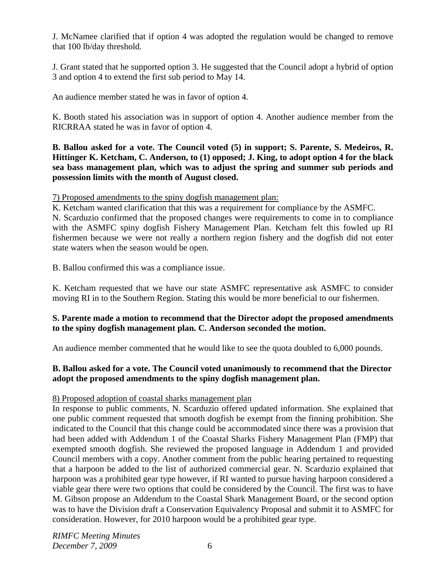J. McNamee clarified that if option 4 was adopted the regulation would be changed to remove that 100 lb/day threshold.

J. Grant stated that he supported option 3. He suggested that the Council adopt a hybrid of option 3 and option 4 to extend the first sub period to May 14.

An audience member stated he was in favor of option 4.

K. Booth stated his association was in support of option 4. Another audience member from the RICRRAA stated he was in favor of option 4.

**B. Ballou asked for a vote. The Council voted (5) in support; S. Parente, S. Medeiros, R. Hittinger K. Ketcham, C. Anderson, to (1) opposed; J. King, to adopt option 4 for the black sea bass management plan, which was to adjust the spring and summer sub periods and possession limits with the month of August closed.** 

7) Proposed amendments to the spiny dogfish management plan:

K. Ketcham wanted clarification that this was a requirement for compliance by the ASMFC. N. Scarduzio confirmed that the proposed changes were requirements to come in to compliance with the ASMFC spiny dogfish Fishery Management Plan. Ketcham felt this fowled up RI fishermen because we were not really a northern region fishery and the dogfish did not enter state waters when the season would be open.

B. Ballou confirmed this was a compliance issue.

K. Ketcham requested that we have our state ASMFC representative ask ASMFC to consider moving RI in to the Southern Region. Stating this would be more beneficial to our fishermen.

# **S. Parente made a motion to recommend that the Director adopt the proposed amendments to the spiny dogfish management plan. C. Anderson seconded the motion.**

An audience member commented that he would like to see the quota doubled to 6,000 pounds.

# **B. Ballou asked for a vote. The Council voted unanimously to recommend that the Director adopt the proposed amendments to the spiny dogfish management plan.**

# 8) Proposed adoption of coastal sharks management plan

In response to public comments, N. Scarduzio offered updated information. She explained that one public comment requested that smooth dogfish be exempt from the finning prohibition. She indicated to the Council that this change could be accommodated since there was a provision that had been added with Addendum 1 of the Coastal Sharks Fishery Management Plan (FMP) that exempted smooth dogfish. She reviewed the proposed language in Addendum 1 and provided Council members with a copy. Another comment from the public hearing pertained to requesting that a harpoon be added to the list of authorized commercial gear. N. Scarduzio explained that harpoon was a prohibited gear type however, if RI wanted to pursue having harpoon considered a viable gear there were two options that could be considered by the Council. The first was to have M. Gibson propose an Addendum to the Coastal Shark Management Board, or the second option was to have the Division draft a Conservation Equivalency Proposal and submit it to ASMFC for consideration. However, for 2010 harpoon would be a prohibited gear type.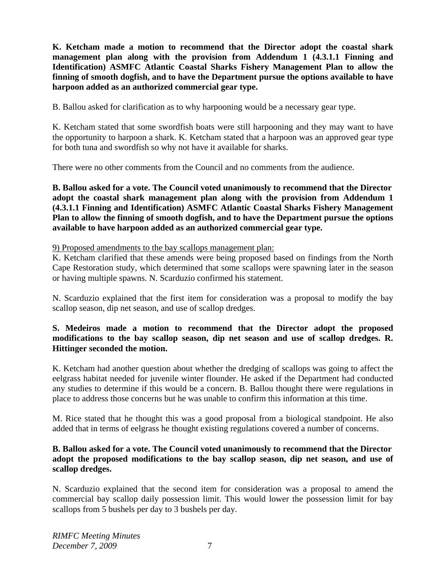**K. Ketcham made a motion to recommend that the Director adopt the coastal shark management plan along with the provision from Addendum 1 (4.3.1.1 Finning and Identification) ASMFC Atlantic Coastal Sharks Fishery Management Plan to allow the finning of smooth dogfish, and to have the Department pursue the options available to have harpoon added as an authorized commercial gear type.** 

B. Ballou asked for clarification as to why harpooning would be a necessary gear type.

K. Ketcham stated that some swordfish boats were still harpooning and they may want to have the opportunity to harpoon a shark. K. Ketcham stated that a harpoon was an approved gear type for both tuna and swordfish so why not have it available for sharks.

There were no other comments from the Council and no comments from the audience.

**B. Ballou asked for a vote. The Council voted unanimously to recommend that the Director adopt the coastal shark management plan along with the provision from Addendum 1 (4.3.1.1 Finning and Identification) ASMFC Atlantic Coastal Sharks Fishery Management Plan to allow the finning of smooth dogfish, and to have the Department pursue the options available to have harpoon added as an authorized commercial gear type.** 

9) Proposed amendments to the bay scallops management plan:

K. Ketcham clarified that these amends were being proposed based on findings from the North Cape Restoration study, which determined that some scallops were spawning later in the season or having multiple spawns. N. Scarduzio confirmed his statement.

N. Scarduzio explained that the first item for consideration was a proposal to modify the bay scallop season, dip net season, and use of scallop dredges.

# **S. Medeiros made a motion to recommend that the Director adopt the proposed modifications to the bay scallop season, dip net season and use of scallop dredges. R. Hittinger seconded the motion.**

K. Ketcham had another question about whether the dredging of scallops was going to affect the eelgrass habitat needed for juvenile winter flounder. He asked if the Department had conducted any studies to determine if this would be a concern. B. Ballou thought there were regulations in place to address those concerns but he was unable to confirm this information at this time.

M. Rice stated that he thought this was a good proposal from a biological standpoint. He also added that in terms of eelgrass he thought existing regulations covered a number of concerns.

# **B. Ballou asked for a vote. The Council voted unanimously to recommend that the Director adopt the proposed modifications to the bay scallop season, dip net season, and use of scallop dredges.**

N. Scarduzio explained that the second item for consideration was a proposal to amend the commercial bay scallop daily possession limit. This would lower the possession limit for bay scallops from 5 bushels per day to 3 bushels per day.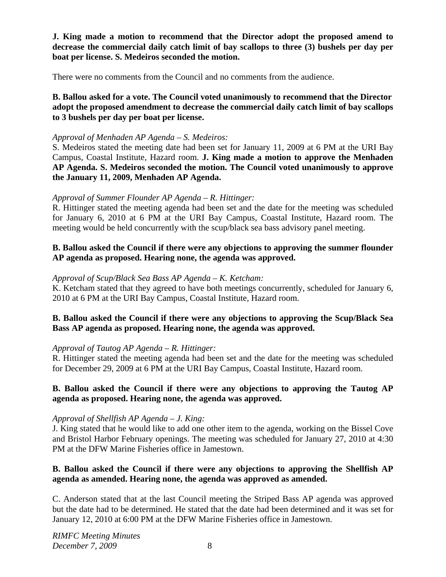**J. King made a motion to recommend that the Director adopt the proposed amend to decrease the commercial daily catch limit of bay scallops to three (3) bushels per day per boat per license. S. Medeiros seconded the motion.**

There were no comments from the Council and no comments from the audience.

**B. Ballou asked for a vote. The Council voted unanimously to recommend that the Director adopt the proposed amendment to decrease the commercial daily catch limit of bay scallops to 3 bushels per day per boat per license.**

#### *Approval of Menhaden AP Agenda – S. Medeiros:*

S. Medeiros stated the meeting date had been set for January 11, 2009 at 6 PM at the URI Bay Campus, Coastal Institute, Hazard room. **J. King made a motion to approve the Menhaden AP Agenda. S. Medeiros seconded the motion. The Council voted unanimously to approve the January 11, 2009, Menhaden AP Agenda.** 

#### *Approval of Summer Flounder AP Agenda – R. Hittinger:*

R. Hittinger stated the meeting agenda had been set and the date for the meeting was scheduled for January 6, 2010 at 6 PM at the URI Bay Campus, Coastal Institute, Hazard room. The meeting would be held concurrently with the scup/black sea bass advisory panel meeting.

## **B. Ballou asked the Council if there were any objections to approving the summer flounder AP agenda as proposed. Hearing none, the agenda was approved.**

#### *Approval of Scup/Black Sea Bass AP Agenda – K. Ketcham:*

K. Ketcham stated that they agreed to have both meetings concurrently, scheduled for January 6, 2010 at 6 PM at the URI Bay Campus, Coastal Institute, Hazard room.

## **B. Ballou asked the Council if there were any objections to approving the Scup/Black Sea Bass AP agenda as proposed. Hearing none, the agenda was approved.**

### *Approval of Tautog AP Agenda – R. Hittinger:*

R. Hittinger stated the meeting agenda had been set and the date for the meeting was scheduled for December 29, 2009 at 6 PM at the URI Bay Campus, Coastal Institute, Hazard room.

## **B. Ballou asked the Council if there were any objections to approving the Tautog AP agenda as proposed. Hearing none, the agenda was approved.**

### *Approval of Shellfish AP Agenda – J. King:*

J. King stated that he would like to add one other item to the agenda, working on the Bissel Cove and Bristol Harbor February openings. The meeting was scheduled for January 27, 2010 at 4:30 PM at the DFW Marine Fisheries office in Jamestown.

## **B. Ballou asked the Council if there were any objections to approving the Shellfish AP agenda as amended. Hearing none, the agenda was approved as amended.**

C. Anderson stated that at the last Council meeting the Striped Bass AP agenda was approved but the date had to be determined. He stated that the date had been determined and it was set for January 12, 2010 at 6:00 PM at the DFW Marine Fisheries office in Jamestown.